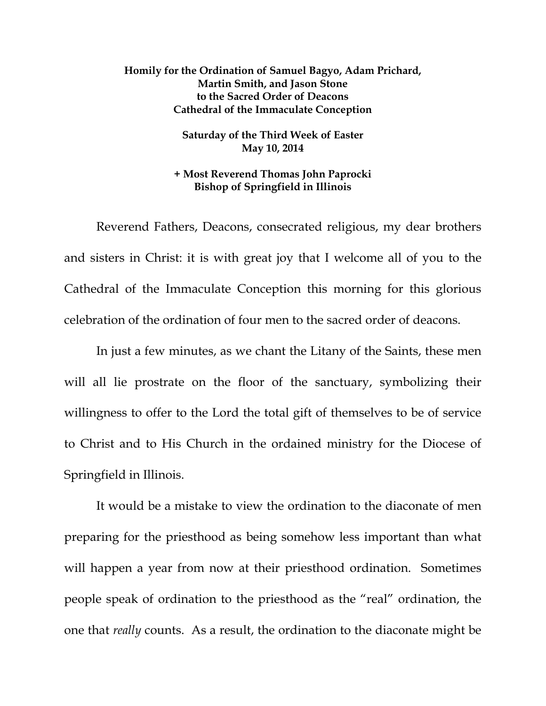## **Homily for the Ordination of Samuel Bagyo, Adam Prichard, Martin Smith, and Jason Stone to the Sacred Order of Deacons Cathedral of the Immaculate Conception**

**Saturday of the Third Week of Easter May 10, 2014** 

## **+ Most Reverend Thomas John Paprocki Bishop of Springfield in Illinois**

 Reverend Fathers, Deacons, consecrated religious, my dear brothers and sisters in Christ: it is with great joy that I welcome all of you to the Cathedral of the Immaculate Conception this morning for this glorious celebration of the ordination of four men to the sacred order of deacons.

In just a few minutes, as we chant the Litany of the Saints, these men will all lie prostrate on the floor of the sanctuary, symbolizing their willingness to offer to the Lord the total gift of themselves to be of service to Christ and to His Church in the ordained ministry for the Diocese of Springfield in Illinois.

 It would be a mistake to view the ordination to the diaconate of men preparing for the priesthood as being somehow less important than what will happen a year from now at their priesthood ordination. Sometimes people speak of ordination to the priesthood as the "real" ordination, the one that *really* counts. As a result, the ordination to the diaconate might be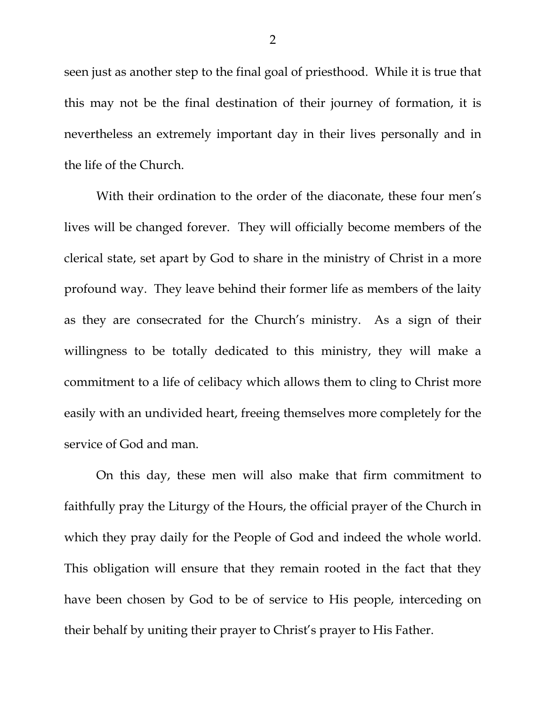seen just as another step to the final goal of priesthood. While it is true that this may not be the final destination of their journey of formation, it is nevertheless an extremely important day in their lives personally and in the life of the Church.

 With their ordination to the order of the diaconate, these four men's lives will be changed forever. They will officially become members of the clerical state, set apart by God to share in the ministry of Christ in a more profound way. They leave behind their former life as members of the laity as they are consecrated for the Church's ministry. As a sign of their willingness to be totally dedicated to this ministry, they will make a commitment to a life of celibacy which allows them to cling to Christ more easily with an undivided heart, freeing themselves more completely for the service of God and man.

 On this day, these men will also make that firm commitment to faithfully pray the Liturgy of the Hours, the official prayer of the Church in which they pray daily for the People of God and indeed the whole world. This obligation will ensure that they remain rooted in the fact that they have been chosen by God to be of service to His people, interceding on their behalf by uniting their prayer to Christ's prayer to His Father.

2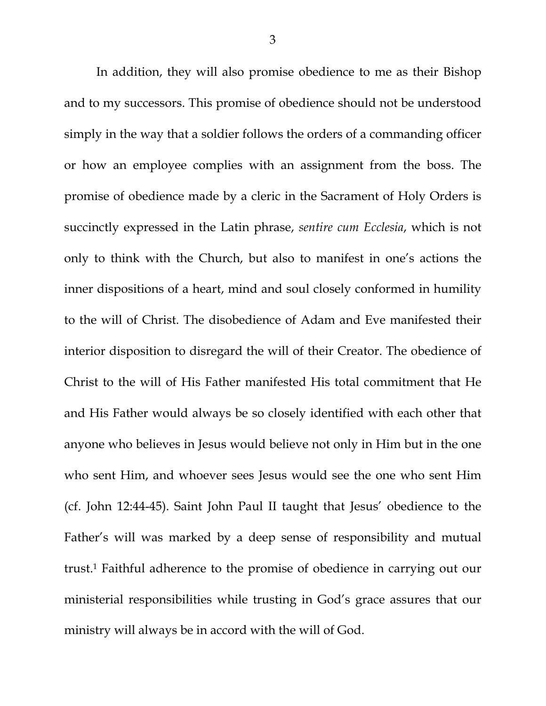In addition, they will also promise obedience to me as their Bishop and to my successors. This promise of obedience should not be understood simply in the way that a soldier follows the orders of a commanding officer or how an employee complies with an assignment from the boss. The promise of obedience made by a cleric in the Sacrament of Holy Orders is succinctly expressed in the Latin phrase, *sentire cum Ecclesia*, which is not only to think with the Church, but also to manifest in one's actions the inner dispositions of a heart, mind and soul closely conformed in humility to the will of Christ. The disobedience of Adam and Eve manifested their interior disposition to disregard the will of their Creator. The obedience of Christ to the will of His Father manifested His total commitment that He and His Father would always be so closely identified with each other that anyone who believes in Jesus would believe not only in Him but in the one who sent Him, and whoever sees Jesus would see the one who sent Him (cf. John 12:44-45). Saint John Paul II taught that Jesus' obedience to the Father's will was marked by a deep sense of responsibility and mutual trust.1 Faithful adherence to the promise of obedience in carrying out our ministerial responsibilities while trusting in God's grace assures that our ministry will always be in accord with the will of God.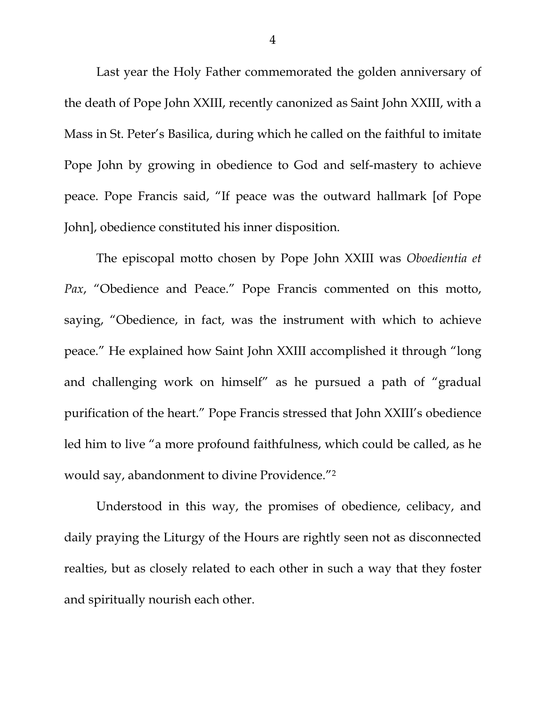Last year the Holy Father commemorated the golden anniversary of the death of Pope John XXIII, recently canonized as Saint John XXIII, with a Mass in St. Peter's Basilica, during which he called on the faithful to imitate Pope John by growing in obedience to God and self-mastery to achieve peace. Pope Francis said, "If peace was the outward hallmark [of Pope John], obedience constituted his inner disposition.

The episcopal motto chosen by Pope John XXIII was *Oboedientia et Pax*, "Obedience and Peace." Pope Francis commented on this motto, saying, "Obedience, in fact, was the instrument with which to achieve peace." He explained how Saint John XXIII accomplished it through "long and challenging work on himself" as he pursued a path of "gradual purification of the heart." Pope Francis stressed that John XXIII's obedience led him to live "a more profound faithfulness, which could be called, as he would say, abandonment to divine Providence."2

Understood in this way, the promises of obedience, celibacy, and daily praying the Liturgy of the Hours are rightly seen not as disconnected realties, but as closely related to each other in such a way that they foster and spiritually nourish each other.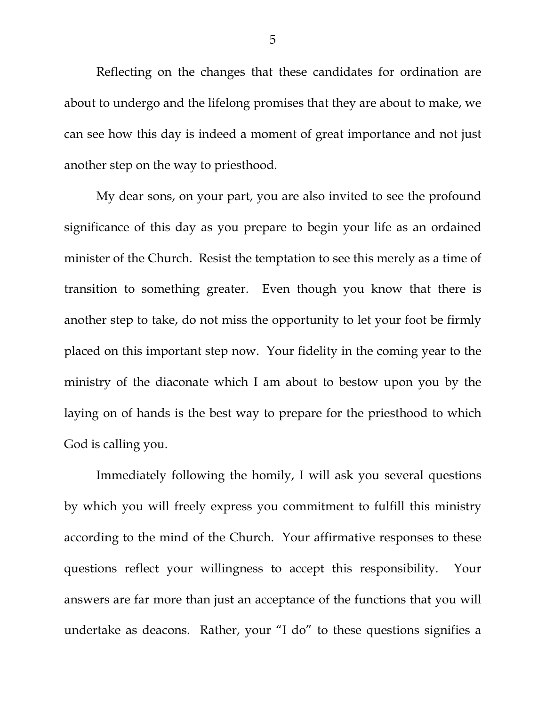Reflecting on the changes that these candidates for ordination are about to undergo and the lifelong promises that they are about to make, we can see how this day is indeed a moment of great importance and not just another step on the way to priesthood.

 My dear sons, on your part, you are also invited to see the profound significance of this day as you prepare to begin your life as an ordained minister of the Church. Resist the temptation to see this merely as a time of transition to something greater. Even though you know that there is another step to take, do not miss the opportunity to let your foot be firmly placed on this important step now. Your fidelity in the coming year to the ministry of the diaconate which I am about to bestow upon you by the laying on of hands is the best way to prepare for the priesthood to which God is calling you.

 Immediately following the homily, I will ask you several questions by which you will freely express you commitment to fulfill this ministry according to the mind of the Church. Your affirmative responses to these questions reflect your willingness to accept this responsibility. Your answers are far more than just an acceptance of the functions that you will undertake as deacons. Rather, your "I do" to these questions signifies a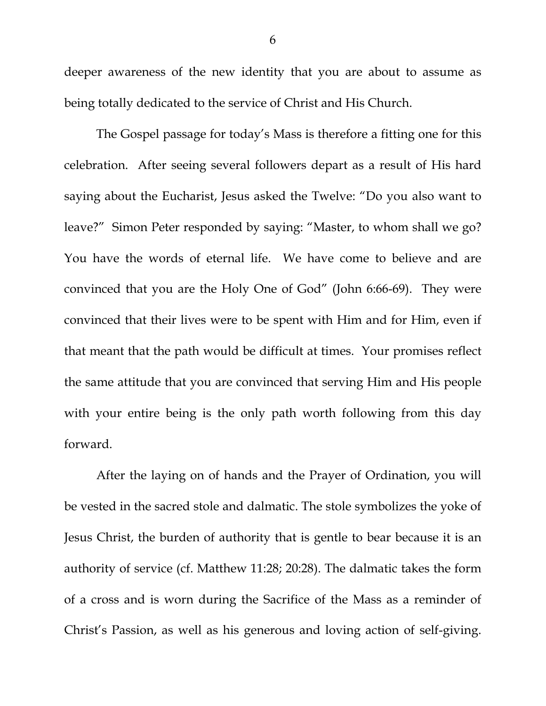deeper awareness of the new identity that you are about to assume as being totally dedicated to the service of Christ and His Church.

 The Gospel passage for today's Mass is therefore a fitting one for this celebration. After seeing several followers depart as a result of His hard saying about the Eucharist, Jesus asked the Twelve: "Do you also want to leave?" Simon Peter responded by saying: "Master, to whom shall we go? You have the words of eternal life. We have come to believe and are convinced that you are the Holy One of God" (John 6:66-69). They were convinced that their lives were to be spent with Him and for Him, even if that meant that the path would be difficult at times. Your promises reflect the same attitude that you are convinced that serving Him and His people with your entire being is the only path worth following from this day forward.

 After the laying on of hands and the Prayer of Ordination, you will be vested in the sacred stole and dalmatic. The stole symbolizes the yoke of Jesus Christ, the burden of authority that is gentle to bear because it is an authority of service (cf. Matthew 11:28; 20:28). The dalmatic takes the form of a cross and is worn during the Sacrifice of the Mass as a reminder of Christ's Passion, as well as his generous and loving action of self-giving.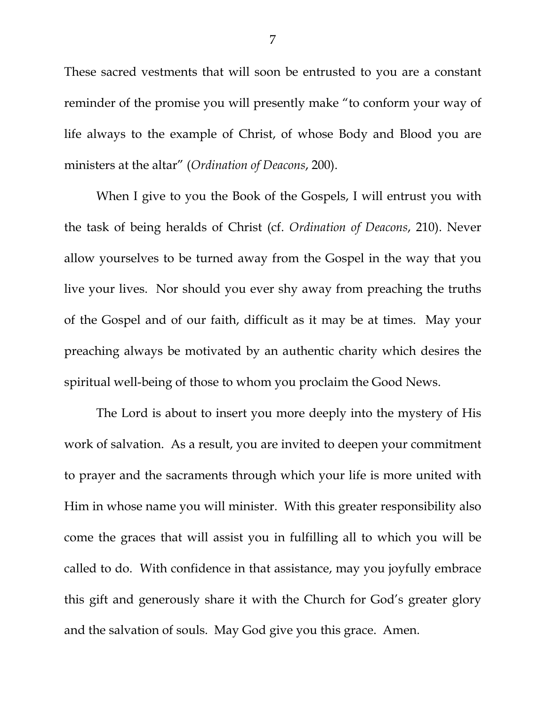These sacred vestments that will soon be entrusted to you are a constant reminder of the promise you will presently make "to conform your way of life always to the example of Christ, of whose Body and Blood you are ministers at the altar" (*Ordination of Deacons*, 200).

When I give to you the Book of the Gospels, I will entrust you with the task of being heralds of Christ (cf. *Ordination of Deacons*, 210). Never allow yourselves to be turned away from the Gospel in the way that you live your lives. Nor should you ever shy away from preaching the truths of the Gospel and of our faith, difficult as it may be at times. May your preaching always be motivated by an authentic charity which desires the spiritual well-being of those to whom you proclaim the Good News.

The Lord is about to insert you more deeply into the mystery of His work of salvation. As a result, you are invited to deepen your commitment to prayer and the sacraments through which your life is more united with Him in whose name you will minister. With this greater responsibility also come the graces that will assist you in fulfilling all to which you will be called to do. With confidence in that assistance, may you joyfully embrace this gift and generously share it with the Church for God's greater glory and the salvation of souls. May God give you this grace. Amen.